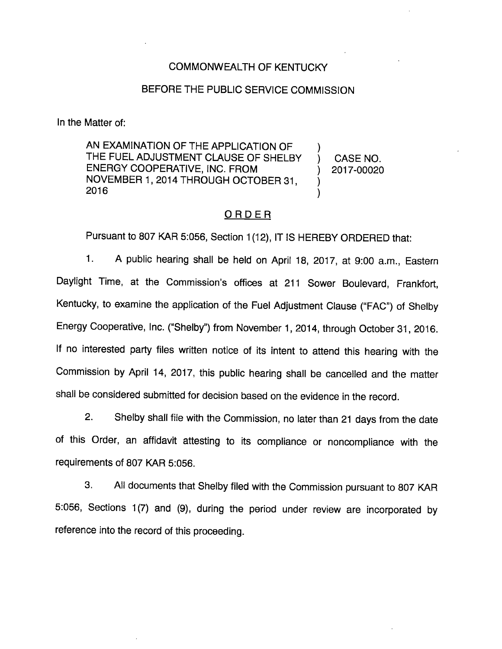## COMMONWEALTH OF KENTUCKY

## BEFORE THE PUBLIC SERVICE COMMISSION

In the Matter of:

AN EXAMINATION OF THE APPLICATION OF THE FUEL ADJUSTMENT CLAUSE OF SHELBY ENERGY COOPERATIVE, INC. FROM NOVEMBER 1, 2014 THROUGH OCTOBER 31,  $\lambda$ 2016

CASE NO. 2017-00020

### <u>ORDER</u>

Pursuant to 807 KAR 5:056, Section 1(12), IT IS HEREBY ORDERED that:

1. A public hearing shall be held on April 18, 2017, at 9:00 a.m.. Eastern Daylight Time, at the Commission's offices at 211 Sower Bouievard, Frankfort, Kentucky, to examine the application of the Fuel Adjustment Clause ("FAC") of Shelby Energy Cooperative, Inc. ("Shelby") from November 1, 2014, through October 31, 2016. If no interested party files written notice of its intent to attend this hearing with the Commission by April 14, 2017, this public hearing shall be cancelled and the matter shall be considered submitted for decision based on the evidence in the record.

2. Shelby shall file with the Commission, no later than 21 days from the date of this Order, an affidavit attesting to its compliance or noncompliance with the requirements of 807 KAR 5:056.

3. All documents that Shelby filed with the Commission pursuant to 807 KAR 5:056, Sections 1(7) and (9), during the period under review are incorporated by reference into the record of this proceeding.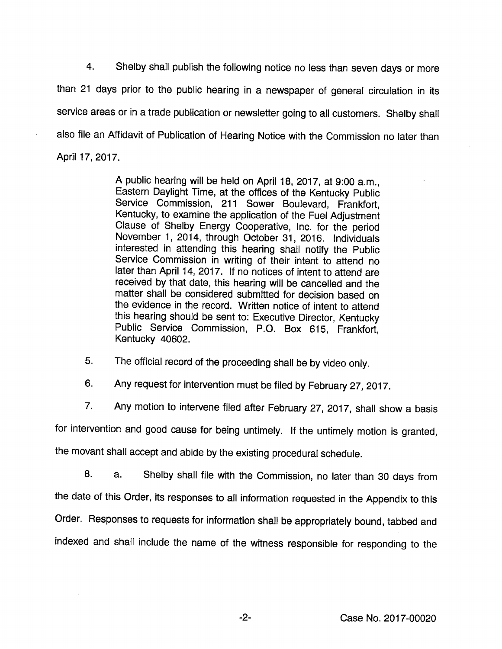4. Shelby shall publish the following notice no less than seven days or more than 21 days prior to the public hearing in a newspaper of general circulation in its service areas or in a trade publication or newsletter going to all customers. Shelby shall also file an Affidavit of Publication of Hearing Notice with the Commission no later than April 17, 2017.

> A public hearing will be held on April 18, 2017, at 9:00 a.m., Eastem Daylight Time, at the offices of the Kentucky Public Service Commission, 211 Sower Boulevard, Frankfort, Kentucky, to examine the application of the Fuel Adjustment Clause of Shelby Energy Cooperative, Inc. for the period November 1, 2014, through October 31, 2016. Individuals interested in attending this hearing shall notify the Public Service Commission in writing of their intent to attend no later than April 14, 2017. If no notices of intent to attend are received by that date, this hearing will be cancelled and the matter shall be considered submitted for decision based on the evidence in the record. Written notice of intent to attend this hearing should be sent to: Executive Director, Kentucky Public Service Commission, P.O. Box 615, Frankfort, Kentucky 40602.

5. The official record of the proceeding shall be by video only.

6. Any request for intervention must be filed by February 27, 2017.

7. Any motion to intervene filed after February 27, 2017, shall show a basis

for intervention and good cause for being untimely. If the untimely motion is granted,

the movant shall accept and abide by the existing procedural schedule.

8. a. Shelby shall file with the Commission, no later than 30 days from the date of this Order, its responses to all information requested in the Appendix to this Order. Responses to requests for information shall be appropriately bound, tabbed and indexed and shall include the name of the witness responsible for responding to the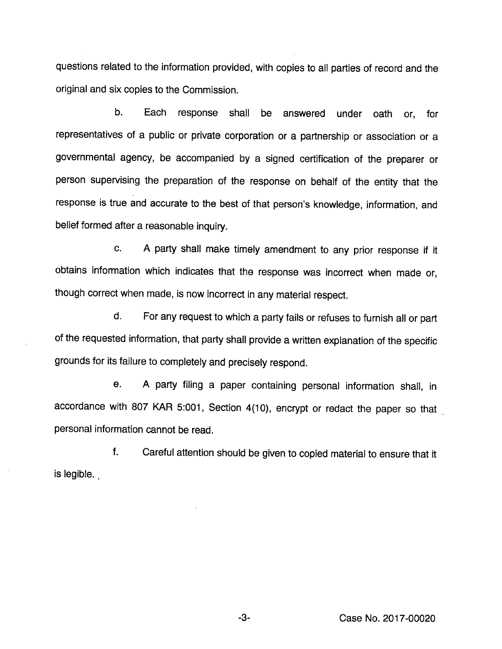questions related to the information provided, with copies to ail parties of record and the original and six copies to the Commission.

b. Each response shall be answered under oath or, for representatives of a public or private corporation or a partnership or association or a governmental agency, be accompanied by a signed certification of the preparer or person supervising the preparation of the response on behalf of the entity that the response is true and accurate to the best of that person's knowledge, information, and belief formed after a reasonable inquiry.

c. A party shall make timely amendment to any prior response if it obtains information which indicates that the response was incorrect when made or, though correct when made, is now incorrect in any material respect.

d. For any request to which a party fails or refuses to furnish all or part of the requested information, that party shall provide a written explanation of the specific grounds for its failure to completely and precisely respond.

e. A party filing a paper containing personal information shall, in accordance with 807 KAR 5:001, Section 4(10), encrypt or redact the paper so that personal information cannot be read.

f. Careful attention should be given to copied material to ensure that it is legible.

-3- Case No. 2017-00020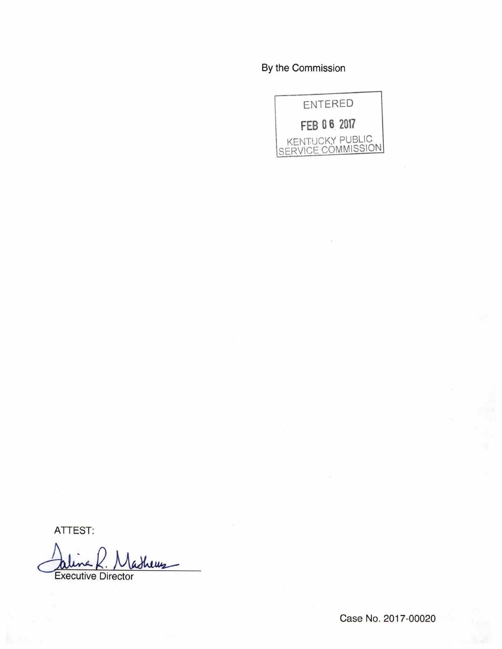By the Commission



ATTEST:

ashews Executive Director

Case No. 2017-00020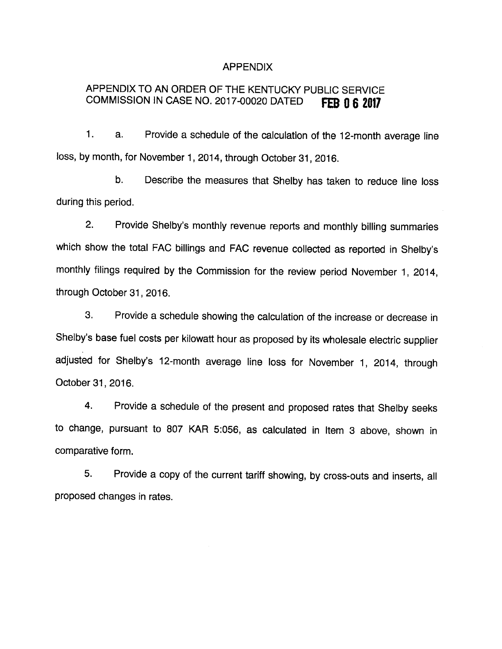#### APPENDIX

# APPENDIX TO AN ORDER OF THE KENTUCKY PUBLIC SERVICE COMMISSION IN CASE NO. 2017-00020 DATED **FEB 0 6 2017**

1. a. Provide a schedule of the calculation of the 12-month average line loss, by month, for November 1, 2014, through October 31, 2016.

b. Describe the measures that Shelby has taken to reduce line loss during this period.

2. Provide Shelby's monthly revenue reports and monthly billing summaries which show the total FAC billings and FAC revenue collected as reported in Shelby's monthly filings required by the Commission for the review period November 1, 2014, through October 31, 2016.

3. Provide a schedule showing the calculation of the increase or decrease in Shelby's base fuel costs per kilowatt hour as proposed by its wholesale electric supplier adjusted for Shelby's 12-month average line loss for November 1, 2014, through October 31, 2016.

4. Provide a schedule of the present and proposed rates that Shelby seeks to change, pursuant to 807 KAR 5:056, as calculated in Item 3 above, shown in comparative form.

5. Provide a copy of the current tariff showing, by cross-outs and inserts, all proposed changes in rates.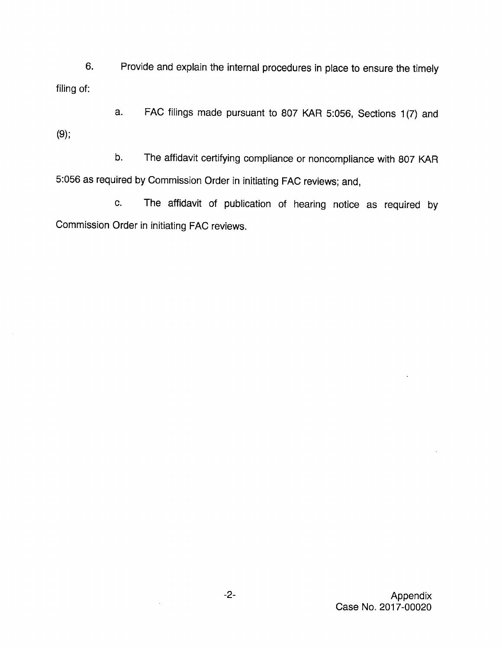6. Provide and explain the internal procedures in place to ensure the timely filing of:

a. FAC filings made pursuant to 807 KAR 5:056, Sections 1(7) and (9);

b. The affidavit certifying compliance or noncompliance with 807 KAR 5:056 as required byCommission Order in initiating FAC reviews; and,

c. The affidavit of publication of hearing notice as required by Commission Order in initiating FAC reviews.

> -2- Appendix Case No. 2017-00020

 $\bar{z}$